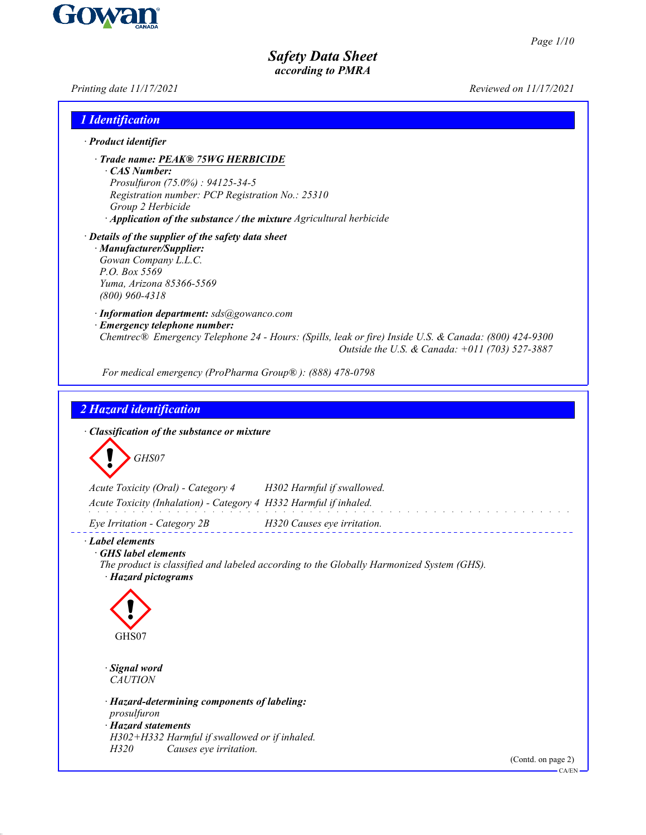

| Printing date 11/17/2021                                                                                                                                                                                                              | Reviewed on 11/17/2021                         |
|---------------------------------------------------------------------------------------------------------------------------------------------------------------------------------------------------------------------------------------|------------------------------------------------|
| 1 Identification                                                                                                                                                                                                                      |                                                |
| · Product identifier                                                                                                                                                                                                                  |                                                |
| · Trade name: PEAK® 75WG HERBICIDE<br>CAS Number:<br>Prosulfuron (75.0%) : 94125-34-5<br>Registration number: PCP Registration No.: 25310<br>Group 2 Herbicide<br>· Application of the substance / the mixture Agricultural herbicide |                                                |
| · Details of the supplier of the safety data sheet<br>· Manufacturer/Supplier:<br>Gowan Company L.L.C.<br>P.O. Box 5569<br>Yuma, Arizona 85366-5569<br>$(800)$ 960-4318                                                               |                                                |
| · Information department: sds@gowanco.com<br>· Emergency telephone number:<br>Chemtrec® Emergency Telephone 24 - Hours: (Spills, leak or fire) Inside U.S. & Canada: (800) 424-9300                                                   | Outside the U.S. & Canada: +011 (703) 527-3887 |
| For medical emergency (ProPharma Group®): (888) 478-0798                                                                                                                                                                              |                                                |
| 2 Hazard identification<br>· Classification of the substance or mixture<br>GHS07<br>Acute Toxicity (Oral) - Category 4<br>H302 Harmful if swallowed.<br>Acute Toxicity (Inhalation) - Category 4 H332 Harmful if inhaled.             |                                                |
| Eye Irritation - Category 2B<br>H320 Causes eye irritation.                                                                                                                                                                           |                                                |
| Label elements<br>GHS label elements<br>The product is classified and labeled according to the Globally Harmonized System (GHS).<br>· Hazard pictograms<br>GHS07                                                                      |                                                |
| · Signal word<br><b>CAUTION</b>                                                                                                                                                                                                       |                                                |
| · Hazard-determining components of labeling:<br>prosulfuron<br>· Hazard statements<br>H302+H332 Harmful if swallowed or if inhaled.<br>H320<br>Causes eye irritation.                                                                 | (Contd. on page 2)                             |
|                                                                                                                                                                                                                                       | CA/EN-                                         |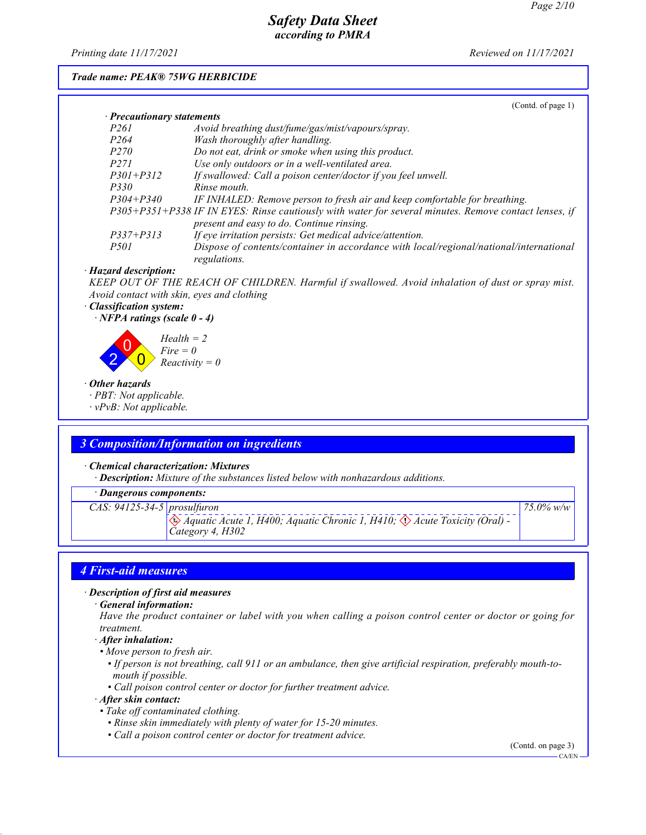*Printing date 11/17/2021 Reviewed on 11/17/2021*

### *Trade name: PEAK® 75WG HERBICIDE*

|                                  | (Contd. of page $1$ )                                                                                                                              |
|----------------------------------|----------------------------------------------------------------------------------------------------------------------------------------------------|
| $\cdot$ Precautionary statements |                                                                                                                                                    |
| P <sub>261</sub>                 | Avoid breathing dust/fume/gas/mist/vapours/spray.                                                                                                  |
| P <sub>264</sub>                 | Wash thoroughly after handling.                                                                                                                    |
| <i>P270</i>                      | Do not eat, drink or smoke when using this product.                                                                                                |
| P271                             | Use only outdoors or in a well-ventilated area.                                                                                                    |
| $P301 + P312$                    | If swallowed: Call a poison center/doctor if you feel unwell.                                                                                      |
| <i>P330</i>                      | Rinse mouth                                                                                                                                        |
| $P304 + P340$                    | IF INHALED: Remove person to fresh air and keep comfortable for breathing.                                                                         |
|                                  | P305+P351+P338 IF IN EYES: Rinse cautiously with water for several minutes. Remove contact lenses, if<br>present and easy to do. Continue rinsing. |
| $P337 + P313$                    | If eye irritation persists: Get medical advice/attention.                                                                                          |
| <i>P501</i>                      | Dispose of contents/container in accordance with local/regional/national/international<br>regulations.                                             |

#### *· Hazard description:*

*KEEP OUT OF THE REACH OF CHILDREN. Harmful if swallowed. Avoid inhalation of dust or spray mist. Avoid contact with skin, eyes and clothing*

#### *· Classification system:*

*· NFPA ratings (scale 0 - 4)*



#### *· Other hazards*

*· PBT: Not applicable.*

*· vPvB: Not applicable.*

## *3 Composition/Information on ingredients*

#### *· Chemical characterization: Mixtures*

*· Description: Mixture of the substances listed below with nonhazardous additions.*

## *· Dangerous components:*

*CAS: 94125-34-5 prosulfuron*

d~ *Aquatic Acute 1, H400; Aquatic Chronic 1, H410;* d~ *Acute Toxicity (Oral) - Category 4, H302*

## *4 First-aid measures*

## *· Description of first aid measures*

*· General information:*

*Have the product container or label with you when calling a poison control center or doctor or going for treatment.*

#### *· After inhalation:*

- *Move person to fresh air.*
	- *If person is not breathing, call 911 or an ambulance, then give artificial respiration, preferably mouth-to mouth if possible.*
	- *Call poison control center or doctor for further treatment advice.*

### *· After skin contact:*

- *Take off contaminated clothing.*
	- *Rinse skin immediately with plenty of water for 15-20 minutes.*
	- *Call a poison control center or doctor for treatment advice.*

(Contd. on page 3)

*75.0% w/w*

CA/EN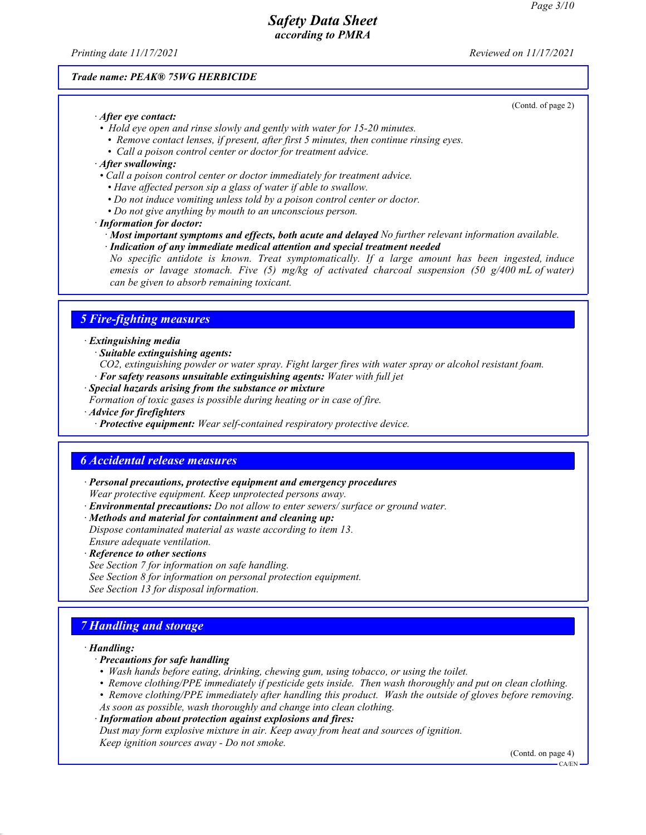*Printing date 11/17/2021 Reviewed on 11/17/2021*

### *Trade name: PEAK® 75WG HERBICIDE*

*· After eye contact:*

- *Hold eye open and rinse slowly and gently with water for 15-20 minutes.*
	- *Remove contact lenses, if present, after first 5 minutes, then continue rinsing eyes.*
	- *Call a poison control center or doctor for treatment advice.*

## *· After swallowing:*

- *Call a poison control center or doctor immediately for treatment advice.*
	- *Have affected person sip a glass of water if able to swallow.*
	- *Do not induce vomiting unless told by a poison control center or doctor.*
	- *Do not give anything by mouth to an unconscious person.*

#### *· Information for doctor:*

- *· Most important symptoms and effects, both acute and delayed No further relevant information available.*
- *· Indication of any immediate medical attention and special treatment needed*

*No specific antidote is known. Treat symptomatically. If a large amount has been ingested, induce emesis or lavage stomach. Five (5) mg/kg of activated charcoal suspension (50 g/400 mL of water) can be given to absorb remaining toxicant.*

## *5 Fire-fighting measures*

#### *· Extinguishing media*

*· Suitable extinguishing agents:*

- *CO2, extinguishing powder or water spray. Fight larger fires with water spray or alcohol resistant foam. · For safety reasons unsuitable extinguishing agents: Water with full jet*
- *· Special hazards arising from the substance or mixture*
- *Formation of toxic gases is possible during heating or in case of fire.*

*· Advice for firefighters*

*· Protective equipment: Wear self-contained respiratory protective device.*

## *6 Accidental release measures*

- *· Personal precautions, protective equipment and emergency procedures Wear protective equipment. Keep unprotected persons away.*
- *· Environmental precautions: Do not allow to enter sewers/ surface or ground water.*
- *· Methods and material for containment and cleaning up:*
- *Dispose contaminated material as waste according to item 13. Ensure adequate ventilation.*

*· Reference to other sections*

- *See Section 7 for information on safe handling.*
- *See Section 8 for information on personal protection equipment.*
- *See Section 13 for disposal information.*

## *7 Handling and storage*

#### *· Handling:*

- *· Precautions for safe handling*
- *Wash hands before eating, drinking, chewing gum, using tobacco, or using the toilet.*
- *Remove clothing/PPE immediately if pesticide gets inside. Then wash thoroughly and put on clean clothing.*
- *Remove clothing/PPE immediately after handling this product. Wash the outside of gloves before removing. As soon as possible, wash thoroughly and change into clean clothing.*
- *· Information about protection against explosions and fires:*

*Dust may form explosive mixture in air. Keep away from heat and sources of ignition. Keep ignition sources away - Do not smoke.*

(Contd. on page 4)

(Contd. of page 2)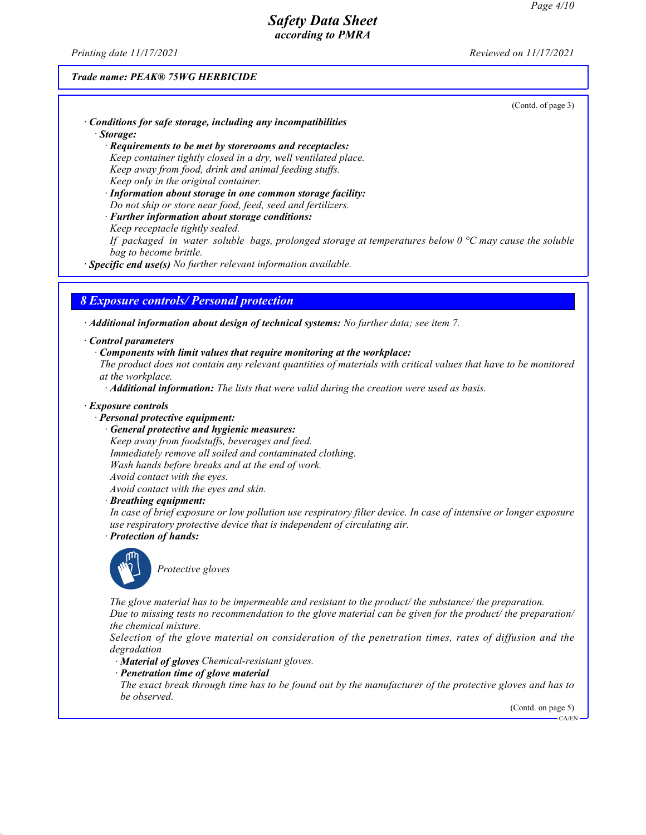*Printing date 11/17/2021 Reviewed on 11/17/2021*

## *Trade name: PEAK® 75WG HERBICIDE*

(Contd. of page 3)

- *· Conditions for safe storage, including any incompatibilities · Storage:*
	- *· Requirements to be met by storerooms and receptacles: Keep container tightly closed in a dry, well ventilated place. Keep away from food, drink and animal feeding stuffs. Keep only in the original container.*
	- *· Information about storage in one common storage facility: Do not ship or store near food, feed, seed and fertilizers.*
	- *· Further information about storage conditions:*
	- *Keep receptacle tightly sealed.*
	- *If packaged in water soluble bags, prolonged storage at temperatures below 0 °C may cause the soluble bag to become brittle.*
- *· Specific end use(s) No further relevant information available.*

## *8 Exposure controls/ Personal protection*

*· Additional information about design of technical systems: No further data; see item 7.*

#### *· Control parameters*

*· Components with limit values that require monitoring at the workplace:*

*The product does not contain any relevant quantities of materials with critical values that have to be monitored at the workplace.*

*· Additional information: The lists that were valid during the creation were used as basis.*

#### *· Exposure controls*

- *· Personal protective equipment:*
	- *· General protective and hygienic measures:*
		- *Keep away from foodstuffs, beverages and feed. Immediately remove all soiled and contaminated clothing. Wash hands before breaks and at the end of work. Avoid contact with the eyes.*
		- *Avoid contact with the eyes and skin.*

#### *· Breathing equipment:*

*In case of brief exposure or low pollution use respiratory filter device. In case of intensive or longer exposure use respiratory protective device that is independent of circulating air.*

*· Protection of hands:*



\_S*Protective gloves*

*The glove material has to be impermeable and resistant to the product/ the substance/ the preparation. Due to missing tests no recommendation to the glove material can be given for the product/ the preparation/ the chemical mixture.*

*Selection of the glove material on consideration of the penetration times, rates of diffusion and the degradation*

- *· Material of gloves Chemical-resistant gloves.*
- *· Penetration time of glove material*

*The exact break through time has to be found out by the manufacturer of the protective gloves and has to be observed.*

(Contd. on page 5)

CA/EN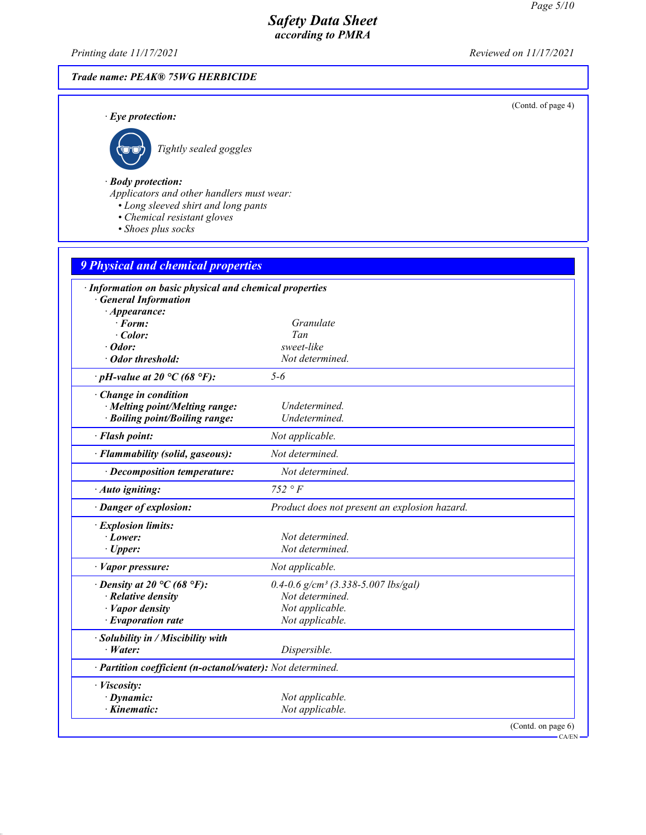(Contd. of page 4)

# *Safety Data Sheet according to PMRA*

*Printing date 11/17/2021 Reviewed on 11/17/2021*

# *Trade name: PEAK® 75WG HERBICIDE*

*· Eye protection:*



\_R*Tightly sealed goggles*

### *· Body protection:*

*Applicators and other handlers must wear:*

- *Long sleeved shirt and long pants*
- *Chemical resistant gloves*
- *Shoes plus socks*

| <b>9 Physical and chemical properties</b>                  |                                                     |  |
|------------------------------------------------------------|-----------------------------------------------------|--|
| · Information on basic physical and chemical properties    |                                                     |  |
| <b>General Information</b>                                 |                                                     |  |
| $\cdot$ Appearance:                                        |                                                     |  |
| $\cdot$ Form:                                              | Granulate                                           |  |
| $\cdot$ Color:                                             | Tan                                                 |  |
| $\cdot$ Odor:                                              | sweet-like                                          |  |
| · Odor threshold:                                          | Not determined.                                     |  |
| $\cdot$ pH-value at 20 °C (68 °F):                         | $5 - 6$                                             |  |
| Change in condition                                        |                                                     |  |
| · Melting point/Melting range:                             | Undetermined.                                       |  |
| · Boiling point/Boiling range:                             | Undetermined.                                       |  |
| · Flash point:                                             | Not applicable.                                     |  |
| · Flammability (solid, gaseous):                           | Not determined.                                     |  |
| · Decomposition temperature:                               | Not determined.                                     |  |
| · Auto igniting:                                           | $752 \circ F$                                       |  |
| · Danger of explosion:                                     | Product does not present an explosion hazard.       |  |
| · Explosion limits:                                        |                                                     |  |
| $\cdot$ Lower:                                             | Not determined.                                     |  |
| $\cdot$ Upper:                                             | Not determined.                                     |  |
| · Vapor pressure:                                          | Not applicable.                                     |  |
| $\cdot$ Density at 20 °C (68 °F):                          | $0.4 - 0.6$ g/cm <sup>3</sup> (3.338-5.007 lbs/gal) |  |
| $\cdot$ Relative density                                   | Not determined.                                     |  |
| · Vapor density                                            | Not applicable.                                     |  |
| $\cdot$ Evaporation rate                                   | Not applicable.                                     |  |
| · Solubility in / Miscibility with                         |                                                     |  |
| $\cdot$ Water:                                             | Dispersible.                                        |  |
| · Partition coefficient (n-octanol/water): Not determined. |                                                     |  |
| · Viscosity:                                               |                                                     |  |
| $\cdot$ Dynamic:                                           | Not applicable.                                     |  |
| $\cdot$ Kinematic:                                         | Not applicable.                                     |  |
|                                                            | (Contd. on page 6)                                  |  |

 $-CA/EN$  -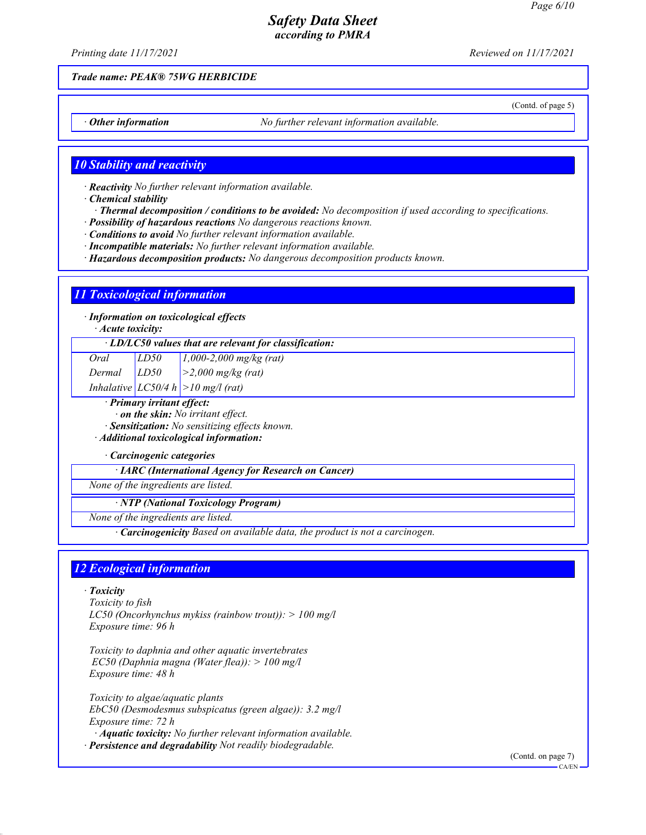(Contd. of page 5)

# *Safety Data Sheet according to PMRA*

*Printing date 11/17/2021 Reviewed on 11/17/2021*

## *Trade name: PEAK® 75WG HERBICIDE*

*Other information No further relevant information available.* 

## *10 Stability and reactivity*

*· Reactivity No further relevant information available.*

*· Chemical stability*

- *· Thermal decomposition / conditions to be avoided: No decomposition if used according to specifications.*
- *· Possibility of hazardous reactions No dangerous reactions known.*
- *· Conditions to avoid No further relevant information available.*
- *· Incompatible materials: No further relevant information available.*
- *· Hazardous decomposition products: No dangerous decomposition products known.*

## *11 Toxicological information*

*· Information on toxicological effects*

*· Acute toxicity:*

| $\cdot$ LD/LC50 values that are relevant for classification: |
|--------------------------------------------------------------|
|--------------------------------------------------------------|

| Oral   | LD50 | $1,000-2,000$ mg/kg (rat) |
|--------|------|---------------------------|
| Dermal | LD50 | $\geq$ 2,000 mg/kg (rat)  |

*Inhalative LC50/4 h >10 mg/l (rat)*

- *· Primary irritant effect:*
- *· on the skin: No irritant effect.*
- *· Sensitization: No sensitizing effects known.*

*· Additional toxicological information:*

*· Carcinogenic categories*

*· IARC (International Agency for Research on Cancer)*

*None of the ingredients are listed.*

*· NTP (National Toxicology Program)*

*None of the ingredients are listed.*

*· Carcinogenicity Based on available data, the product is not a carcinogen.*

# *12 Ecological information*

*· Toxicity*

*Toxicity to fish LC50 (Oncorhynchus mykiss (rainbow trout)): > 100 mg/l Exposure time: 96 h*

*Toxicity to daphnia and other aquatic invertebrates EC50 (Daphnia magna (Water flea)): > 100 mg/l Exposure time: 48 h*

*Toxicity to algae/aquatic plants EbC50 (Desmodesmus subspicatus (green algae)): 3.2 mg/l Exposure time: 72 h · Aquatic toxicity: No further relevant information available. · Persistence and degradability Not readily biodegradable.*

(Contd. on page 7)

CA/EN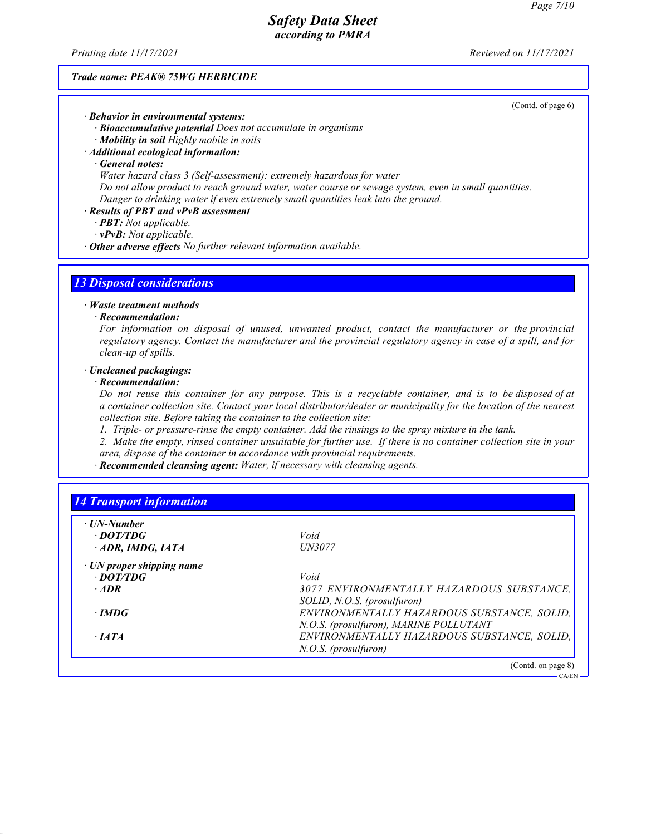*Printing date 11/17/2021 Reviewed on 11/17/2021*

### *Trade name: PEAK® 75WG HERBICIDE*

(Contd. of page 6)

CA/EN

*· Behavior in environmental systems: · Bioaccumulative potential Does not accumulate in organisms · Mobility in soil Highly mobile in soils*

*· Additional ecological information:*

*· General notes:*

*Water hazard class 3 (Self-assessment): extremely hazardous for water*

*Do not allow product to reach ground water, water course or sewage system, even in small quantities. Danger to drinking water if even extremely small quantities leak into the ground.*

#### *· Results of PBT and vPvB assessment*

*· PBT: Not applicable.*

*· vPvB: Not applicable.*

*· Other adverse effects No further relevant information available.*

## *13 Disposal considerations*

#### *· Waste treatment methods*

#### *· Recommendation:*

*For information on disposal of unused, unwanted product, contact the manufacturer or the provincial regulatory agency. Contact the manufacturer and the provincial regulatory agency in case of a spill, and for clean-up of spills.*

## *· Uncleaned packagings:*

## *· Recommendation:*

*Do not reuse this container for any purpose. This is a recyclable container, and is to be disposed of at a container collection site. Contact your local distributor/dealer or municipality for the location of the nearest collection site. Before taking the container to the collection site:*

*1. Triple- or pressure-rinse the empty container. Add the rinsings to the spray mixture in the tank.*

*2. Make the empty, rinsed container unsuitable for further use. If there is no container collection site in your area, dispose of the container in accordance with provincial requirements.*

*· Recommended cleansing agent: Water, if necessary with cleansing agents.*

| · UN-Number                     |                                             |
|---------------------------------|---------------------------------------------|
| · DOT/TDG                       | Void                                        |
| ADR, IMDG, IATA                 | <i><b>UN3077</b></i>                        |
| $\cdot$ UN proper shipping name |                                             |
| $\cdot$ DOT/TDG                 | Void                                        |
| $\cdot$ ADR                     | 3077 ENVIRONMENTALLY HAZARDOUS SUBSTANCE.   |
|                                 | SOLID, N.O.S. (prosulfuron)                 |
| $\cdot$ IMDG                    | ENVIRONMENTALLY HAZARDOUS SUBSTANCE, SOLID, |
|                                 | N.O.S. (prosulfuron), MARINE POLLUTANT      |
| $\cdot$ <i>IATA</i>             | ENVIRONMENTALLY HAZARDOUS SUBSTANCE, SOLID, |
|                                 | $N.O.S.$ (prosulfuron)                      |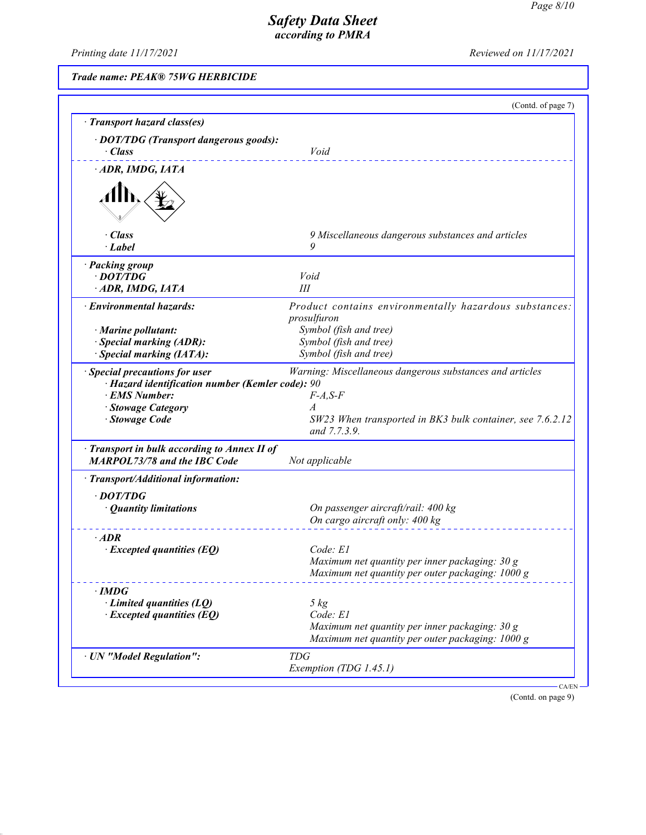*Printing date 11/17/2021 Reviewed on 11/17/2021*

*Trade name: PEAK® 75WG HERBICIDE*

|                                                                                   | (Contd. of page 7)                                                    |
|-----------------------------------------------------------------------------------|-----------------------------------------------------------------------|
| · Transport hazard class(es)                                                      |                                                                       |
| · DOT/TDG (Transport dangerous goods):                                            |                                                                       |
| $\cdot$ Class                                                                     | Void                                                                  |
| ADR, IMDG, IATA                                                                   |                                                                       |
|                                                                                   |                                                                       |
| $\cdot$ Class<br>· Label                                                          | 9 Miscellaneous dangerous substances and articles<br>9                |
|                                                                                   |                                                                       |
| · Packing group<br>$\cdot$ DOT/TDG                                                | Void                                                                  |
| ADR, IMDG, IATA                                                                   | III                                                                   |
|                                                                                   |                                                                       |
| · Environmental hazards:                                                          | Product contains environmentally hazardous substances:<br>prosulfuron |
| $\cdot$ Marine pollutant:                                                         | Symbol (fish and tree)                                                |
| · Special marking (ADR):                                                          | Symbol (fish and tree)                                                |
| Special marking (IATA):                                                           | Symbol (fish and tree)                                                |
| · Special precautions for user                                                    | Warning: Miscellaneous dangerous substances and articles              |
| · Hazard identification number (Kemler code): 90                                  |                                                                       |
| · EMS Number:                                                                     | $F-A, S-F$                                                            |
| · Stowage Category                                                                | $\overline{A}$                                                        |
| · Stowage Code                                                                    | SW23 When transported in BK3 bulk container, see 7.6.2.12             |
|                                                                                   | and 7.7.3.9.                                                          |
| Transport in bulk according to Annex II of<br><b>MARPOL73/78 and the IBC Code</b> | Not applicable                                                        |
| · Transport/Additional information:                                               |                                                                       |
| $\cdot$ DOT/TDG                                                                   |                                                                       |
| • Quantity limitations                                                            | On passenger aircraft/rail: 400 kg                                    |
|                                                                                   | On cargo aircraft only: 400 kg                                        |
| $\cdot$ ADR                                                                       |                                                                       |
| $\cdot$ Excepted quantities (EQ)                                                  | Code: E1                                                              |
|                                                                                   | Maximum net quantity per inner packaging: 30 g                        |
|                                                                                   | Maximum net quantity per outer packaging: 1000 g                      |
| $\cdot$ IMDG                                                                      |                                                                       |
| $\cdot$ Limited quantities (LQ)                                                   | $5 \ kg$                                                              |
| $\cdot$ Excepted quantities (EQ)                                                  | Code: E1                                                              |
|                                                                                   | Maximum net quantity per inner packaging: 30 g                        |
|                                                                                   | Maximum net quantity per outer packaging: 1000 g                      |
| · UN "Model Regulation":                                                          | <b>TDG</b>                                                            |
|                                                                                   | Exemption (TDG 1.45.1)                                                |

(Contd. on page 9)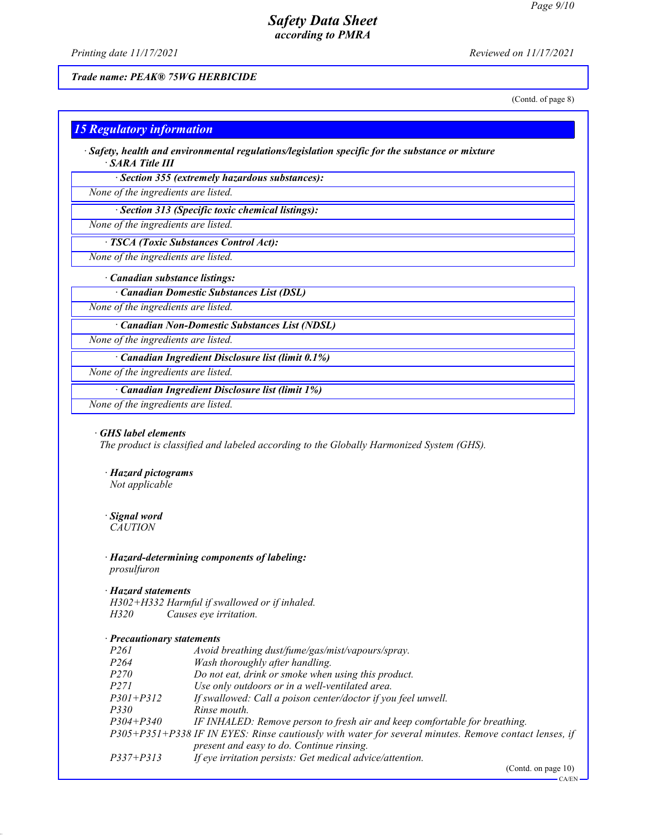*Printing date 11/17/2021 Reviewed on 11/17/2021*

## *Trade name: PEAK® 75WG HERBICIDE*

(Contd. of page 8)

## *15 Regulatory information*

*· Safety, health and environmental regulations/legislation specific for the substance or mixture · SARA Title III*

*· Section 355 (extremely hazardous substances):*

*None of the ingredients are listed.*

*· Section 313 (Specific toxic chemical listings):*

*None of the ingredients are listed.*

## *· TSCA (Toxic Substances Control Act):*

*None of the ingredients are listed.*

### *· Canadian substance listings:*

*· Canadian Domestic Substances List (DSL)*

*None of the ingredients are listed.*

### *· Canadian Non-Domestic Substances List (NDSL)*

*None of the ingredients are listed.*

*· Canadian Ingredient Disclosure list (limit 0.1%)*

*None of the ingredients are listed.*

## *· Canadian Ingredient Disclosure list (limit 1%)*

*None of the ingredients are listed.*

#### *· GHS label elements*

*The product is classified and labeled according to the Globally Harmonized System (GHS).*

- *· Hazard pictograms Not applicable*
- *· Signal word*

*CAUTION*

*· Hazard-determining components of labeling: prosulfuron*

## *· Hazard statements*

*H302+H332 Harmful if swallowed or if inhaled. H320 Causes eye irritation.*

### *· Precautionary statements*

| P261      | Avoid breathing dust/fume/gas/mist/vapours/spray.                                                     |
|-----------|-------------------------------------------------------------------------------------------------------|
| P264      | Wash thoroughly after handling.                                                                       |
| P270      | Do not eat, drink or smoke when using this product.                                                   |
| P271      | Use only outdoors or in a well-ventilated area.                                                       |
| P301+P312 | If swallowed: Call a poison center/doctor if you feel unwell.                                         |
| P330      | Rinse mouth.                                                                                          |
| P304+P340 | IF INHALED: Remove person to fresh air and keep comfortable for breathing.                            |
|           | P305+P351+P338 IF IN EYES: Rinse cautiously with water for several minutes. Remove contact lenses, if |
|           | present and easy to do. Continue rinsing.                                                             |
| P337+P313 | If eye irritation persists: Get medical advice/attention.                                             |
|           |                                                                                                       |

(Contd. on page 10)

CA/EN